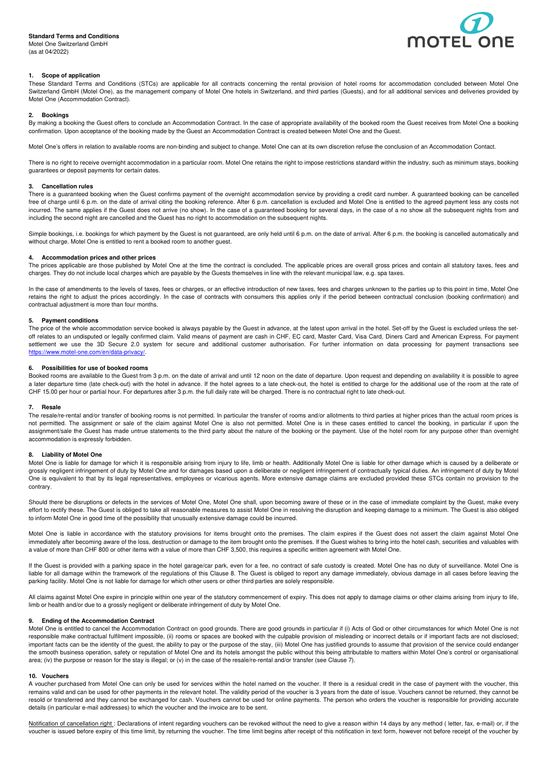## **Standard Terms and Conditions**  Motel One Switzerland GmbH

(as at 04/2022)



# **1. Scope of application**

These Standard Terms and Conditions (STCs) are applicable for all contracts concerning the rental provision of hotel rooms for accommodation concluded between Motel One Switzerland GmbH (Motel One), as the management company of Motel One hotels in Switzerland, and third parties (Guests), and for all additional services and deliveries provided by Motel One (Accommodation Contract).

## **2. Bookings**

By making a booking the Guest offers to conclude an Accommodation Contract. In the case of appropriate availability of the booked room the Guest receives from Motel One a booking confirmation. Upon acceptance of the booking made by the Guest an Accommodation Contract is created between Motel One and the Guest.

Motel One's offers in relation to available rooms are non-binding and subject to change. Motel One can at its own discretion refuse the conclusion of an Accommodation Contact.

There is no right to receive overnight accommodation in a particular room. Motel One retains the right to impose restrictions standard within the industry, such as minimum stays, booking guarantees or deposit payments for certain dates.

# **3. Cancellation rules**

There is a guaranteed booking when the Guest confirms payment of the overnight accommodation service by providing a credit card number. A guaranteed booking can be cancelled free of charge until 6 p.m. on the date of arrival citing the booking reference. After 6 p.m. cancellation is excluded and Motel One is entitled to the agreed payment less any costs not incurred. The same applies if the Guest does not arrive (no show). In the case of a guaranteed booking for several days, in the case of a no show all the subsequent nights from and including the second night are cancelled and the Guest has no right to accommodation on the subsequent nights.

Simple bookings, i.e. bookings for which payment by the Guest is not guaranteed, are only held until 6 p.m. on the date of arrival. After 6 p.m. the booking is cancelled automatically and without charge. Motel One is entitled to rent a booked room to another guest.

## **4. Accommodation prices and other prices**

The prices applicable are those published by Motel One at the time the contract is concluded. The applicable prices are overall gross prices and contain all statutory taxes, fees and charges. They do not include local charges which are payable by the Guests themselves in line with the relevant municipal law, e.g. spa taxes.

In the case of amendments to the levels of taxes, fees or charges, or an effective introduction of new taxes, fees and charges unknown to the parties up to this point in time, Motel One retains the right to adjust the prices accordingly. In the case of contracts with consumers this applies only if the period between contractual conclusion (booking confirmation) and contractual adjustment is more than four months.

## **5. Payment conditions**

The price of the whole accommodation service booked is always payable by the Guest in advance, at the latest upon arrival in the hotel. Set-off by the Guest is excluded unless the setoff relates to an undisputed or legally confirmed claim. Valid means of payment are cash in CHF, EC card, Master Card, Visa Card, Diners Card and American Express. For payment settlement we use the 3D Secure 2.0 system for secure and additional customer authorisation. For further information on data processing for payment transactions see https://www.motel-one.com/en/data-privacy/.

#### **6. Possibilities for use of booked rooms**

Booked rooms are available to the Guest from 3 p.m. on the date of arrival and until 12 noon on the date of departure. Upon request and depending on availability it is possible to agree a later departure time (late check-out) with the hotel in advance. If the hotel agrees to a late check-out, the hotel is entitled to charge for the additional use of the room at the rate of CHF 15.00 per hour or partial hour. For departures after 3 p.m. the full daily rate will be charged. There is no contractual right to late check-out.

#### **7. Resale**

The resale/re-rental and/or transfer of booking rooms is not permitted. In particular the transfer of rooms and/or allotments to third parties at higher prices than the actual room prices is not permitted. The assignment or sale of the claim against Motel One is also not permitted. Motel One is in these cases entitled to cancel the booking, in particular if upon the assignment/sale the Guest has made untrue statements to the third party about the nature of the booking or the payment. Use of the hotel room for any purpose other than overnight accommodation is expressly forbidden.

#### **8. Liability of Motel One**

Motel One is liable for damage for which it is responsible arising from injury to life, limb or health. Additionally Motel One is liable for other damage which is caused by a deliberate or grossly negligent infringement of duty by Motel One and for damages based upon a deliberate or negligent infringement of contractually typical duties. An infringement of duty by Motel One is equivalent to that by its legal representatives, employees or vicarious agents. More extensive damage claims are excluded provided these STCs contain no provision to the contrary.

Should there be disruptions or defects in the services of Motel One, Motel One shall, upon becoming aware of these or in the case of immediate complaint by the Guest, make every effort to rectify these. The Guest is obliged to take all reasonable measures to assist Motel One in resolving the disruption and keeping damage to a minimum. The Guest is also obliged to inform Motel One in good time of the possibility that unusually extensive damage could be incurred.

Motel One is liable in accordance with the statutory provisions for items brought onto the premises. The claim expires if the Guest does not assert the claim against Motel One immediately after becoming aware of the loss, destruction or damage to the item brought onto the premises. If the Guest wishes to bring into the hotel cash, securities and valuables with a value of more than CHF 800 or other items with a value of more than CHF 3,500, this requires a specific written agreement with Motel One.

If the Guest is provided with a parking space in the hotel garage/car park, even for a fee, no contract of safe custody is created. Motel One has no duty of surveillance. Motel One is liable for all damage within the framework of the regulations of this Clause 8. The Guest is obliged to report any damage immediately, obvious damage in all cases before leaving the parking facility. Motel One is not liable for damage for which other users or other third parties are solely responsible.

All claims against Motel One expire in principle within one year of the statutory commencement of expiry. This does not apply to damage claims or other claims arising from injury to life, limb or health and/or due to a grossly negligent or deliberate infringement of duty by Motel One.

## **9. Ending of the Accommodation Contract**

Motel One is entitled to cancel the Accommodation Contract on good grounds. There are good grounds in particular if (i) Acts of God or other circumstances for which Motel One is not responsible make contractual fulfilment impossible, (ii) rooms or spaces are booked with the culpable provision of misleading or incorrect details or if important facts are not disclosed; important facts can be the identity of the guest, the ability to pay or the purpose of the stay, (iii) Motel One has justified grounds to assume that provision of the service could endanger the smooth business operation, safety or reputation of Motel One and its hotels amongst the public without this being attributable to matters within Motel One's control or organisational area; (iv) the purpose or reason for the stay is illegal; or (v) in the case of the resale/re-rental and/or transfer (see Clause 7).

#### **10. Vouchers**

A voucher purchased from Motel One can only be used for services within the hotel named on the voucher. If there is a residual credit in the case of payment with the voucher, this remains valid and can be used for other payments in the relevant hotel. The validity period of the voucher is 3 years from the date of issue. Vouchers cannot be returned, they cannot be resold or transferred and they cannot be exchanged for cash. Vouchers cannot be used for online payments. The person who orders the voucher is responsible for providing accurate details (in particular e-mail addresses) to which the voucher and the invoice are to be sent.

Notification of cancellation right : Declarations of intent regarding vouchers can be revoked without the need to give a reason within 14 days by any method (letter, fax, e-mail) or, if the voucher is issued before expiry of this time limit, by returning the voucher. The time limit begins after receipt of this notification in text form, however not before receipt of the voucher by